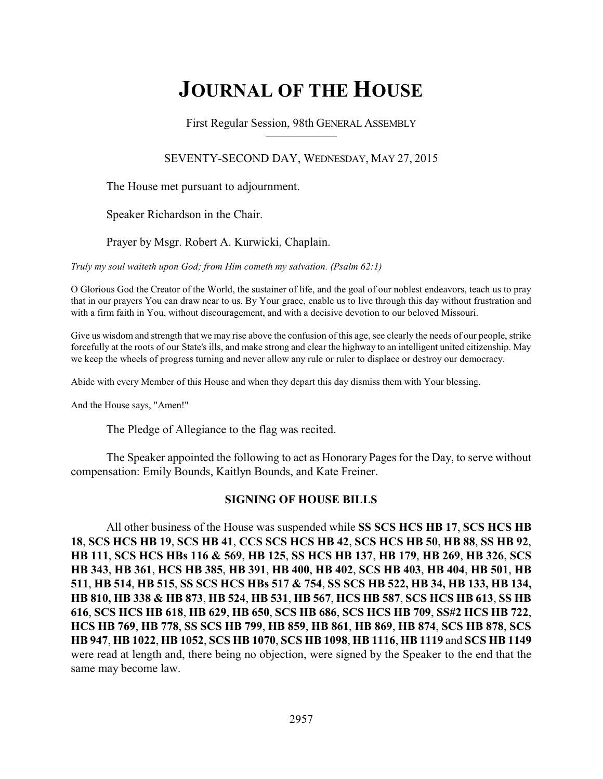# **JOURNAL OF THE HOUSE**

First Regular Session, 98th GENERAL ASSEMBLY

# SEVENTY-SECOND DAY, WEDNESDAY, MAY 27, 2015

The House met pursuant to adjournment.

Speaker Richardson in the Chair.

Prayer by Msgr. Robert A. Kurwicki, Chaplain.

*Truly my soul waiteth upon God; from Him cometh my salvation. (Psalm 62:1)*

O Glorious God the Creator of the World, the sustainer of life, and the goal of our noblest endeavors, teach us to pray that in our prayers You can draw near to us. By Your grace, enable us to live through this day without frustration and with a firm faith in You, without discouragement, and with a decisive devotion to our beloved Missouri.

Give us wisdom and strength that we may rise above the confusion of this age, see clearly the needs of our people, strike forcefully at the roots of our State's ills, and make strong and clear the highway to an intelligent united citizenship. May we keep the wheels of progress turning and never allow any rule or ruler to displace or destroy our democracy.

Abide with every Member of this House and when they depart this day dismiss them with Your blessing.

And the House says, "Amen!"

The Pledge of Allegiance to the flag was recited.

The Speaker appointed the following to act as Honorary Pages for the Day, to serve without compensation: Emily Bounds, Kaitlyn Bounds, and Kate Freiner.

# **SIGNING OF HOUSE BILLS**

All other business of the House was suspended while **SS SCS HCS HB 17**, **SCS HCS HB 18**, **SCS HCS HB 19**, **SCS HB 41**, **CCS SCS HCS HB 42**, **SCS HCS HB 50**, **HB 88**, **SS HB 92**, **HB 111**, **SCS HCS HBs 116 & 569**, **HB 125**, **SS HCS HB 137**, **HB 179**, **HB 269**, **HB 326**, **SCS HB 343**, **HB 361**, **HCS HB 385**, **HB 391**, **HB 400**, **HB 402**, **SCS HB 403**, **HB 404**, **HB 501**, **HB 511**, **HB 514**, **HB 515**, **SS SCS HCS HBs 517 & 754**, **SS SCS HB 522, HB 34, HB 133, HB 134, HB 810, HB 338 & HB 873**, **HB 524**, **HB 531**, **HB 567**, **HCS HB 587**, **SCS HCS HB 613**, **SS HB 616**, **SCS HCS HB 618**, **HB 629**, **HB 650**, **SCS HB 686**, **SCS HCS HB 709**, **SS#2 HCS HB 722**, **HCS HB 769**, **HB 778**, **SS SCS HB 799**, **HB 859**, **HB 861**, **HB 869**, **HB 874**, **SCS HB 878**, **SCS HB 947**, **HB 1022**, **HB 1052**, **SCS HB 1070**, **SCS HB 1098**, **HB 1116**, **HB 1119** and **SCS HB 1149** were read at length and, there being no objection, were signed by the Speaker to the end that the same may become law.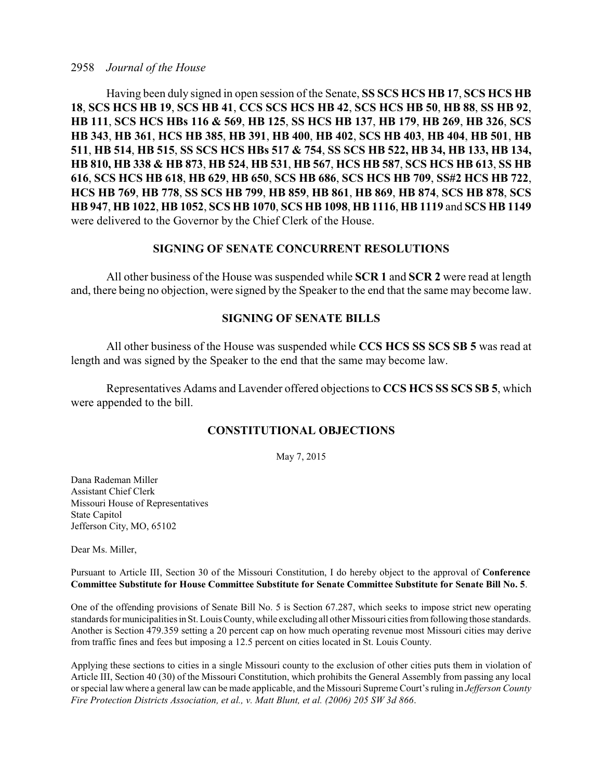#### 2958 *Journal of the House*

Having been duly signed in open session of the Senate, **SS SCS HCS HB 17**, **SCS HCS HB 18**, **SCS HCS HB 19**, **SCS HB 41**, **CCS SCS HCS HB 42**, **SCS HCS HB 50**, **HB 88**, **SS HB 92**, **HB 111**, **SCS HCS HBs 116 & 569**, **HB 125**, **SS HCS HB 137**, **HB 179**, **HB 269**, **HB 326**, **SCS HB 343**, **HB 361**, **HCS HB 385**, **HB 391**, **HB 400**, **HB 402**, **SCS HB 403**, **HB 404**, **HB 501**, **HB 511**, **HB 514**, **HB 515**, **SS SCS HCS HBs 517 & 754**, **SS SCS HB 522, HB 34, HB 133, HB 134, HB 810, HB 338 & HB 873**, **HB 524**, **HB 531**, **HB 567**, **HCS HB 587**, **SCS HCS HB 613**, **SS HB 616**, **SCS HCS HB 618**, **HB 629**, **HB 650**, **SCS HB 686**, **SCS HCS HB 709**, **SS#2 HCS HB 722**, **HCS HB 769**, **HB 778**, **SS SCS HB 799**, **HB 859**, **HB 861**, **HB 869**, **HB 874**, **SCS HB 878**, **SCS HB 947**, **HB 1022**, **HB 1052**, **SCS HB 1070**, **SCS HB 1098**, **HB 1116**, **HB 1119** and **SCS HB 1149** were delivered to the Governor by the Chief Clerk of the House.

### **SIGNING OF SENATE CONCURRENT RESOLUTIONS**

All other business of the House was suspended while **SCR 1** and **SCR 2** were read at length and, there being no objection, were signed by the Speaker to the end that the same may become law.

## **SIGNING OF SENATE BILLS**

All other business of the House was suspended while **CCS HCS SS SCS SB 5** was read at length and was signed by the Speaker to the end that the same may become law.

Representatives Adams and Lavender offered objections to **CCS HCS SS SCS SB 5**, which were appended to the bill.

### **CONSTITUTIONAL OBJECTIONS**

May 7, 2015

Dana Rademan Miller Assistant Chief Clerk Missouri House of Representatives State Capitol Jefferson City, MO, 65102

Dear Ms. Miller,

Pursuant to Article III, Section 30 of the Missouri Constitution, I do hereby object to the approval of **Conference Committee Substitute for House Committee Substitute for Senate Committee Substitute for Senate Bill No. 5**.

One of the offending provisions of Senate Bill No. 5 is Section 67.287, which seeks to impose strict new operating standards for municipalities inSt. Louis County, while excluding all other Missouri cities fromfollowing those standards. Another is Section 479.359 setting a 20 percent cap on how much operating revenue most Missouri cities may derive from traffic fines and fees but imposing a 12.5 percent on cities located in St. Louis County.

Applying these sections to cities in a single Missouri county to the exclusion of other cities puts them in violation of Article III, Section 40 (30) of the Missouri Constitution, which prohibits the General Assembly from passing any local or special law where a general law can be made applicable, and the Missouri Supreme Court's ruling in *Jefferson County Fire Protection Districts Association, et al., v. Matt Blunt, et al. (2006) 205 SW 3d 866*.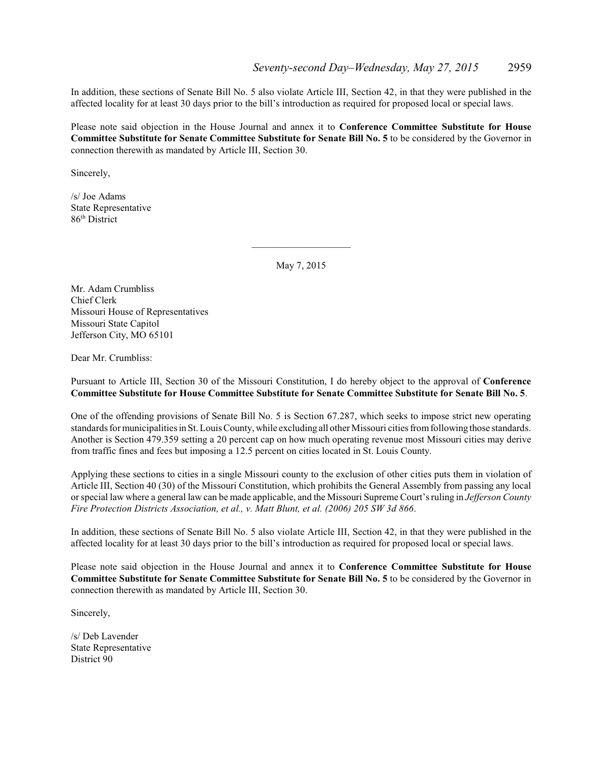In addition, these sections of Senate Bill No. 5 also violate Article III, Section 42, in that they were published in the affected locality for at least 30 days prior to the bill's introduction as required for proposed local or special laws.

Please note said objection in the House Journal and annex it to **Conference Committee Substitute for House Committee Substitute for Senate Committee Substitute for Senate Bill No. 5** to be considered by the Governor in connection therewith as mandated by Article III, Section 30.

Sincerely,

/s/ Joe Adams State Representative 86<sup>th</sup> District

May 7, 2015

 $\overline{\phantom{a}}$  , and the set of the set of the set of the set of the set of the set of the set of the set of the set of the set of the set of the set of the set of the set of the set of the set of the set of the set of the s

Mr. Adam Crumbliss Chief Clerk Missouri House of Representatives Missouri State Capitol Jefferson City, MO 65101

Dear Mr. Crumbliss:

Pursuant to Article III, Section 30 of the Missouri Constitution, I do hereby object to the approval of **Conference Committee Substitute for House Committee Substitute for Senate Committee Substitute for Senate Bill No. 5**.

One of the offending provisions of Senate Bill No. 5 is Section 67.287, which seeks to impose strict new operating standards for municipalities inSt. Louis County, while excluding all other Missouri cities fromfollowing those standards. Another is Section 479.359 setting a 20 percent cap on how much operating revenue most Missouri cities may derive from traffic fines and fees but imposing a 12.5 percent on cities located in St. Louis County.

Applying these sections to cities in a single Missouri county to the exclusion of other cities puts them in violation of Article III, Section 40 (30) of the Missouri Constitution, which prohibits the General Assembly from passing any local or special law where a general law can be made applicable, and the Missouri Supreme Court'sruling in *Jefferson County Fire Protection Districts Association, et al., v. Matt Blunt, et al. (2006) 205 SW 3d 866*.

In addition, these sections of Senate Bill No. 5 also violate Article III, Section 42, in that they were published in the affected locality for at least 30 days prior to the bill's introduction as required for proposed local or special laws.

Please note said objection in the House Journal and annex it to **Conference Committee Substitute for House Committee Substitute for Senate Committee Substitute for Senate Bill No. 5** to be considered by the Governor in connection therewith as mandated by Article III, Section 30.

Sincerely,

/s/ Deb Lavender State Representative District 90